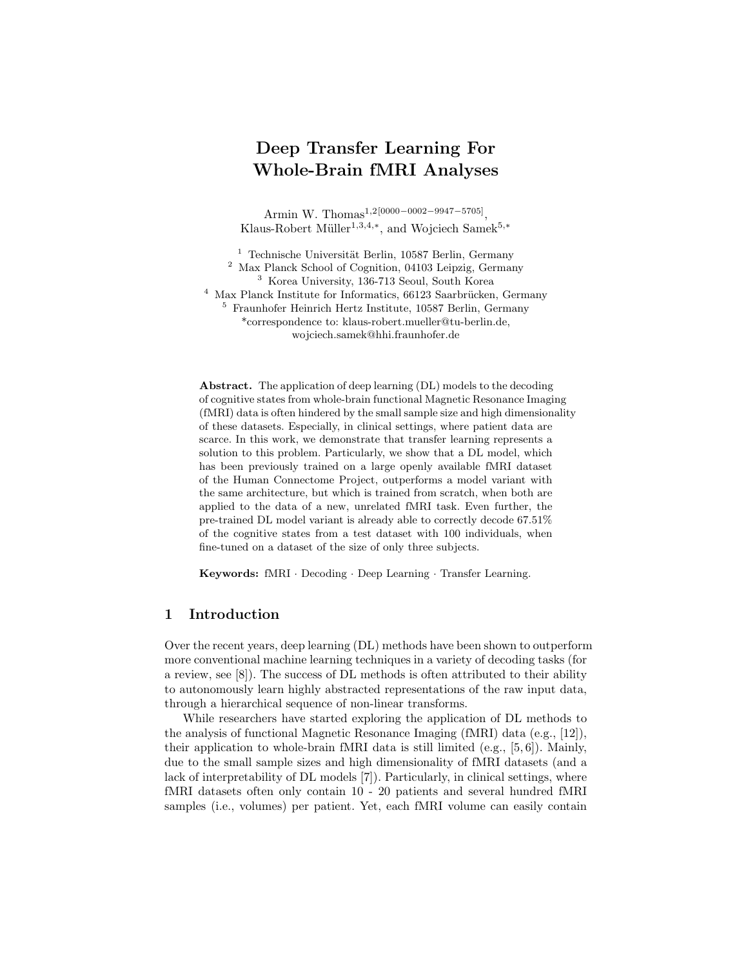# Deep Transfer Learning For Whole-Brain fMRI Analyses

Armin W. Thomas<sup>1,2[0000–0002–9947–5705]</sup>, Klaus-Robert Müller<sup>1,3,4,\*</sup>, and Wojciech Samek<sup>5,\*</sup>

 Technische Universität Berlin, 10587 Berlin, Germany Max Planck School of Cognition, 04103 Leipzig, Germany Korea University, 136-713 Seoul, South Korea Max Planck Institute for Informatics, 66123 Saarbrücken, Germany Fraunhofer Heinrich Hertz Institute, 10587 Berlin, Germany \*correspondence to: klaus-robert.mueller@tu-berlin.de, wojciech.samek@hhi.fraunhofer.de

Abstract. The application of deep learning (DL) models to the decoding of cognitive states from whole-brain functional Magnetic Resonance Imaging (fMRI) data is often hindered by the small sample size and high dimensionality of these datasets. Especially, in clinical settings, where patient data are scarce. In this work, we demonstrate that transfer learning represents a solution to this problem. Particularly, we show that a DL model, which has been previously trained on a large openly available fMRI dataset of the Human Connectome Project, outperforms a model variant with the same architecture, but which is trained from scratch, when both are applied to the data of a new, unrelated fMRI task. Even further, the pre-trained DL model variant is already able to correctly decode 67.51% of the cognitive states from a test dataset with 100 individuals, when fine-tuned on a dataset of the size of only three subjects.

Keywords: fMRI · Decoding · Deep Learning · Transfer Learning.

# 1 Introduction

Over the recent years, deep learning (DL) methods have been shown to outperform more conventional machine learning techniques in a variety of decoding tasks (for a review, see [8]). The success of DL methods is often attributed to their ability to autonomously learn highly abstracted representations of the raw input data, through a hierarchical sequence of non-linear transforms.

While researchers have started exploring the application of DL methods to the analysis of functional Magnetic Resonance Imaging (fMRI) data (e.g., [12]), their application to whole-brain fMRI data is still limited  $(e.g., [5, 6])$ . Mainly, due to the small sample sizes and high dimensionality of fMRI datasets (and a lack of interpretability of DL models [7]). Particularly, in clinical settings, where fMRI datasets often only contain 10 - 20 patients and several hundred fMRI samples (i.e., volumes) per patient. Yet, each fMRI volume can easily contain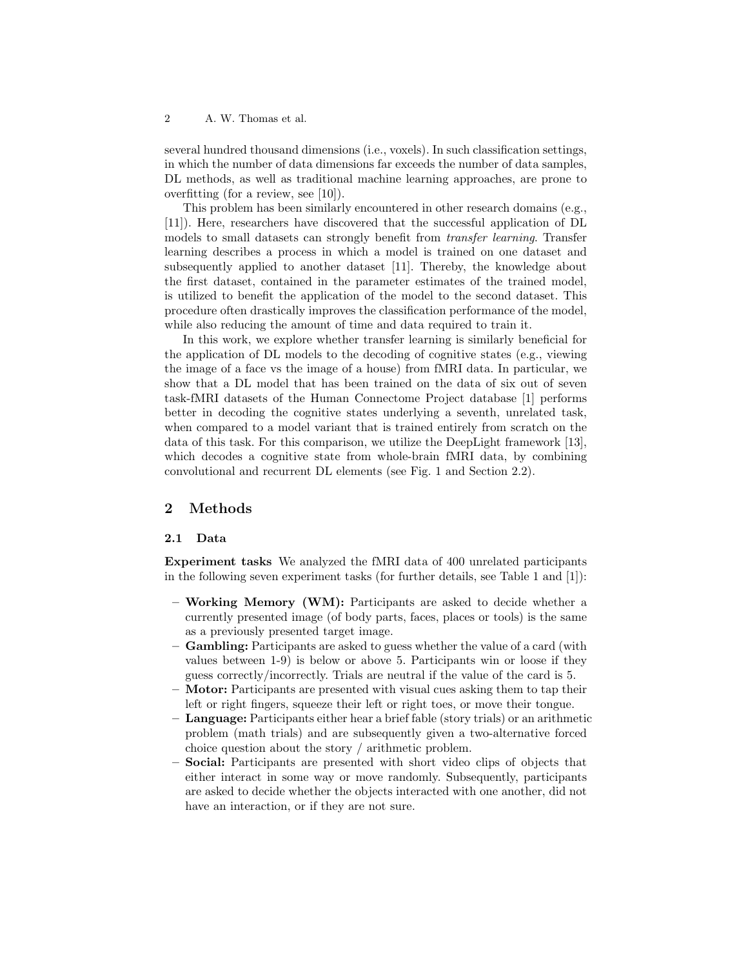2 A. W. Thomas et al.

several hundred thousand dimensions (i.e., voxels). In such classification settings, in which the number of data dimensions far exceeds the number of data samples, DL methods, as well as traditional machine learning approaches, are prone to overfitting (for a review, see [10]).

This problem has been similarly encountered in other research domains (e.g., [11]). Here, researchers have discovered that the successful application of DL models to small datasets can strongly benefit from transfer learning. Transfer learning describes a process in which a model is trained on one dataset and subsequently applied to another dataset [11]. Thereby, the knowledge about the first dataset, contained in the parameter estimates of the trained model, is utilized to benefit the application of the model to the second dataset. This procedure often drastically improves the classification performance of the model, while also reducing the amount of time and data required to train it.

In this work, we explore whether transfer learning is similarly beneficial for the application of DL models to the decoding of cognitive states (e.g., viewing the image of a face vs the image of a house) from fMRI data. In particular, we show that a DL model that has been trained on the data of six out of seven task-fMRI datasets of the Human Connectome Project database [1] performs better in decoding the cognitive states underlying a seventh, unrelated task, when compared to a model variant that is trained entirely from scratch on the data of this task. For this comparison, we utilize the DeepLight framework [13], which decodes a cognitive state from whole-brain fMRI data, by combining convolutional and recurrent DL elements (see Fig. 1 and Section 2.2).

## 2 Methods

#### 2.1 Data

Experiment tasks We analyzed the fMRI data of 400 unrelated participants in the following seven experiment tasks (for further details, see Table 1 and [1]):

- Working Memory (WM): Participants are asked to decide whether a currently presented image (of body parts, faces, places or tools) is the same as a previously presented target image.
- Gambling: Participants are asked to guess whether the value of a card (with values between 1-9) is below or above 5. Participants win or loose if they guess correctly/incorrectly. Trials are neutral if the value of the card is 5.
- Motor: Participants are presented with visual cues asking them to tap their left or right fingers, squeeze their left or right toes, or move their tongue.
- Language: Participants either hear a brief fable (story trials) or an arithmetic problem (math trials) and are subsequently given a two-alternative forced choice question about the story / arithmetic problem.
- Social: Participants are presented with short video clips of objects that either interact in some way or move randomly. Subsequently, participants are asked to decide whether the objects interacted with one another, did not have an interaction, or if they are not sure.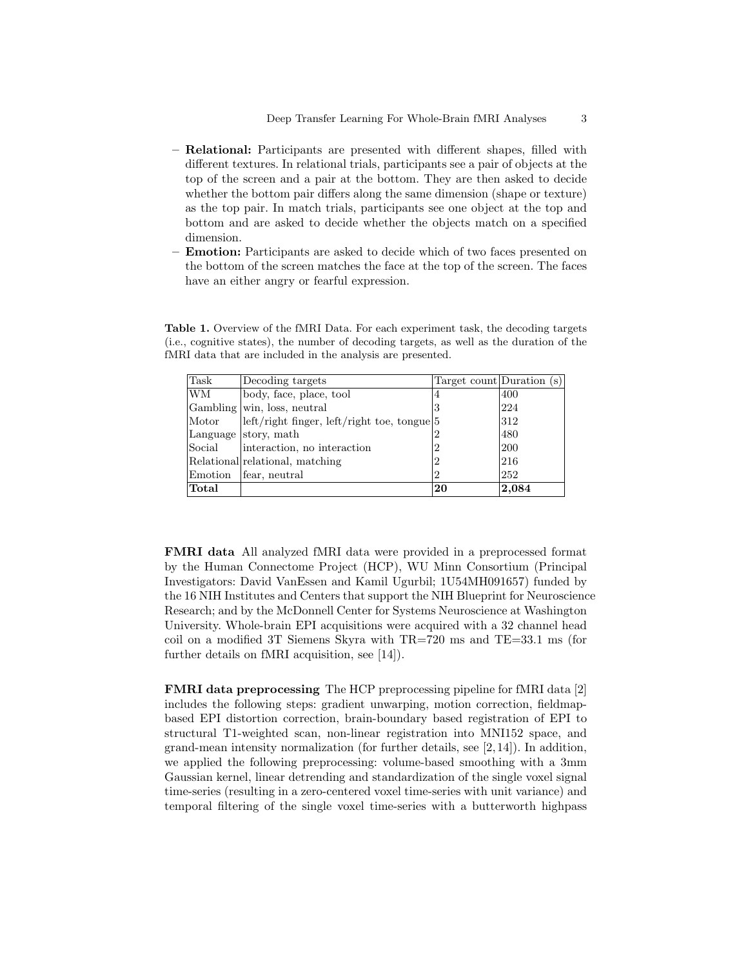- Relational: Participants are presented with different shapes, filled with different textures. In relational trials, participants see a pair of objects at the top of the screen and a pair at the bottom. They are then asked to decide whether the bottom pair differs along the same dimension (shape or texture) as the top pair. In match trials, participants see one object at the top and bottom and are asked to decide whether the objects match on a specified dimension.
- Emotion: Participants are asked to decide which of two faces presented on the bottom of the screen matches the face at the top of the screen. The faces have an either angry or fearful expression.

| Task      | Decoding targets                            | Target count Duration (s) |       |
|-----------|---------------------------------------------|---------------------------|-------|
| <b>WM</b> | body, face, place, tool                     |                           | 400   |
|           | Gambling win, loss, neutral                 | Ő                         | 224   |
| Motor     | left/right finger, left/right toe, tongue 5 |                           | 312   |
|           | Language story, math                        |                           | 480   |
| Social    | interaction, no interaction                 |                           | 200   |
|           | Relational relational, matching             |                           | 216   |
| Emotion   | fear, neutral                               |                           | 252   |
| Total     |                                             | 20                        | 2,084 |

Table 1. Overview of the fMRI Data. For each experiment task, the decoding targets (i.e., cognitive states), the number of decoding targets, as well as the duration of the fMRI data that are included in the analysis are presented.

FMRI data All analyzed fMRI data were provided in a preprocessed format by the Human Connectome Project (HCP), WU Minn Consortium (Principal Investigators: David VanEssen and Kamil Ugurbil; 1U54MH091657) funded by the 16 NIH Institutes and Centers that support the NIH Blueprint for Neuroscience Research; and by the McDonnell Center for Systems Neuroscience at Washington University. Whole-brain EPI acquisitions were acquired with a 32 channel head coil on a modified 3T Siemens Skyra with TR=720 ms and TE=33.1 ms (for further details on fMRI acquisition, see [14]).

FMRI data preprocessing The HCP preprocessing pipeline for fMRI data [2] includes the following steps: gradient unwarping, motion correction, fieldmapbased EPI distortion correction, brain-boundary based registration of EPI to structural T1-weighted scan, non-linear registration into MNI152 space, and grand-mean intensity normalization (for further details, see  $[2, 14]$ ). In addition, we applied the following preprocessing: volume-based smoothing with a 3mm Gaussian kernel, linear detrending and standardization of the single voxel signal time-series (resulting in a zero-centered voxel time-series with unit variance) and temporal filtering of the single voxel time-series with a butterworth highpass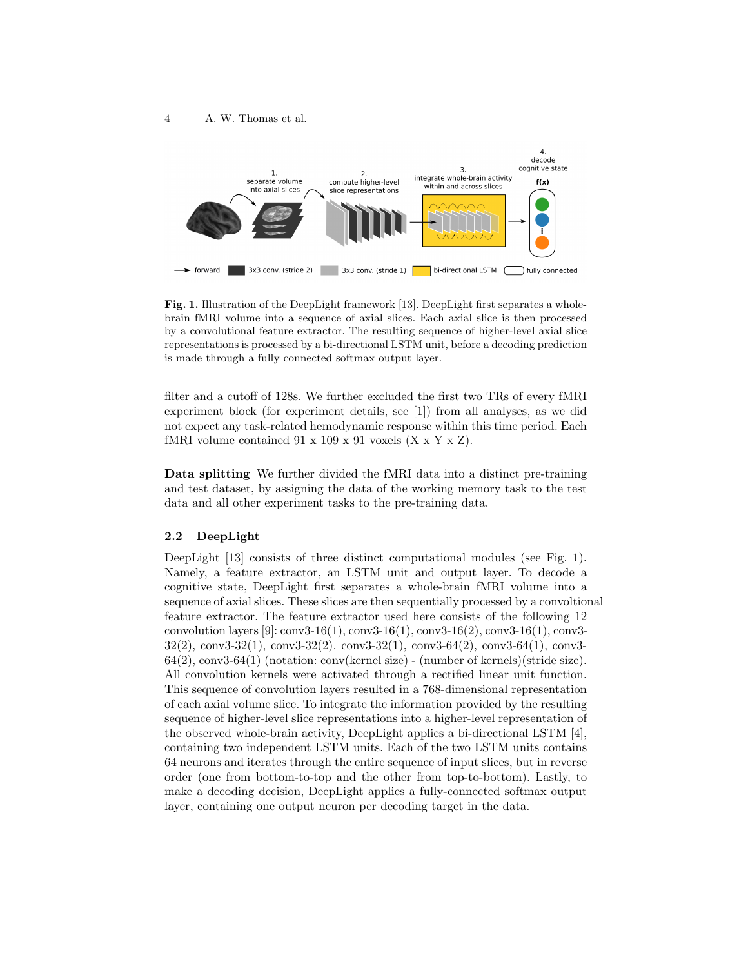#### 4 A. W. Thomas et al.



Fig. 1. Illustration of the DeepLight framework [13]. DeepLight first separates a wholebrain fMRI volume into a sequence of axial slices. Each axial slice is then processed by a convolutional feature extractor. The resulting sequence of higher-level axial slice representations is processed by a bi-directional LSTM unit, before a decoding prediction is made through a fully connected softmax output layer.

filter and a cutoff of 128s. We further excluded the first two TRs of every fMRI experiment block (for experiment details, see [1]) from all analyses, as we did not expect any task-related hemodynamic response within this time period. Each fMRI volume contained  $91 \times 109 \times 91$  voxels  $(X \times Y \times Z)$ .

Data splitting We further divided the fMRI data into a distinct pre-training and test dataset, by assigning the data of the working memory task to the test data and all other experiment tasks to the pre-training data.

# 2.2 DeepLight

DeepLight [13] consists of three distinct computational modules (see Fig. 1). Namely, a feature extractor, an LSTM unit and output layer. To decode a cognitive state, DeepLight first separates a whole-brain fMRI volume into a sequence of axial slices. These slices are then sequentially processed by a convoltional feature extractor. The feature extractor used here consists of the following 12 convolution layers [9]: conv3-16(1), conv3-16(1), conv3-16(2), conv3-16(1), conv3-  $32(2)$ , conv3-32 $(1)$ , conv3-32 $(2)$ . conv3-32 $(1)$ , conv3-64 $(2)$ , conv3-64 $(1)$ , conv3-64(2), conv3-64(1) (notation: conv(kernel size) - (number of kernels)(stride size). All convolution kernels were activated through a rectified linear unit function. This sequence of convolution layers resulted in a 768-dimensional representation of each axial volume slice. To integrate the information provided by the resulting sequence of higher-level slice representations into a higher-level representation of the observed whole-brain activity, DeepLight applies a bi-directional LSTM [4], containing two independent LSTM units. Each of the two LSTM units contains 64 neurons and iterates through the entire sequence of input slices, but in reverse order (one from bottom-to-top and the other from top-to-bottom). Lastly, to make a decoding decision, DeepLight applies a fully-connected softmax output layer, containing one output neuron per decoding target in the data.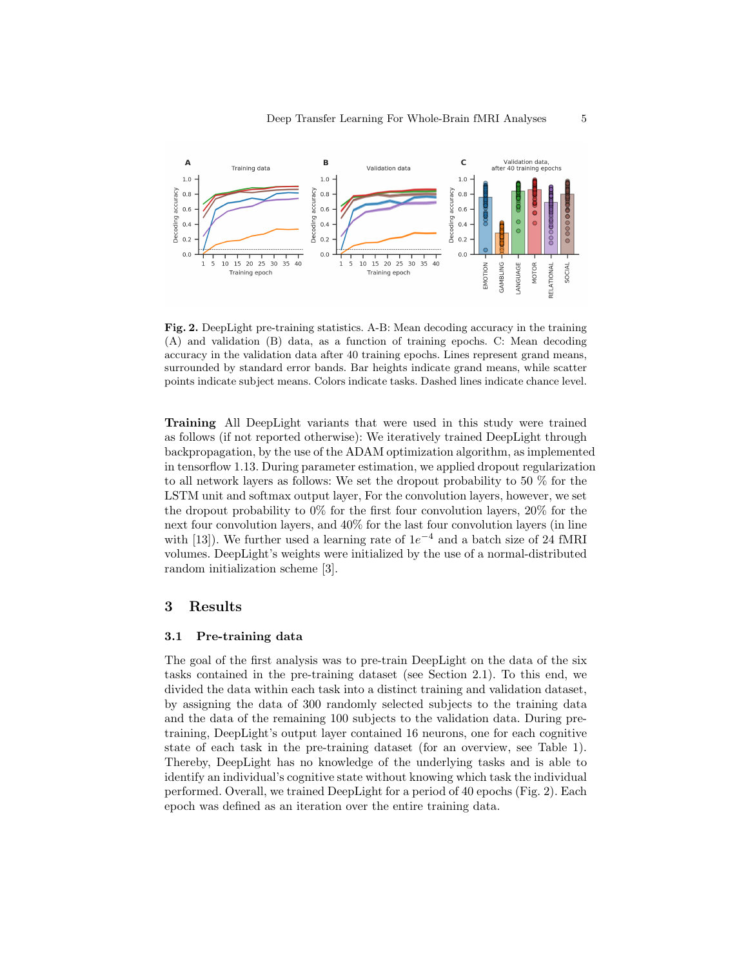

Fig. 2. DeepLight pre-training statistics. A-B: Mean decoding accuracy in the training (A) and validation (B) data, as a function of training epochs. C: Mean decoding accuracy in the validation data after 40 training epochs. Lines represent grand means, surrounded by standard error bands. Bar heights indicate grand means, while scatter points indicate subject means. Colors indicate tasks. Dashed lines indicate chance level.

Training All DeepLight variants that were used in this study were trained as follows (if not reported otherwise): We iteratively trained DeepLight through backpropagation, by the use of the ADAM optimization algorithm, as implemented in tensorflow 1.13. During parameter estimation, we applied dropout regularization to all network layers as follows: We set the dropout probability to 50 % for the LSTM unit and softmax output layer, For the convolution layers, however, we set the dropout probability to  $0\%$  for the first four convolution layers,  $20\%$  for the next four convolution layers, and 40% for the last four convolution layers (in line with [13]). We further used a learning rate of  $1e^{-4}$  and a batch size of 24 fMRI volumes. DeepLight's weights were initialized by the use of a normal-distributed random initialization scheme [3].

### 3 Results

#### 3.1 Pre-training data

The goal of the first analysis was to pre-train DeepLight on the data of the six tasks contained in the pre-training dataset (see Section 2.1). To this end, we divided the data within each task into a distinct training and validation dataset, by assigning the data of 300 randomly selected subjects to the training data and the data of the remaining 100 subjects to the validation data. During pretraining, DeepLight's output layer contained 16 neurons, one for each cognitive state of each task in the pre-training dataset (for an overview, see Table 1). Thereby, DeepLight has no knowledge of the underlying tasks and is able to identify an individual's cognitive state without knowing which task the individual performed. Overall, we trained DeepLight for a period of 40 epochs (Fig. 2). Each epoch was defined as an iteration over the entire training data.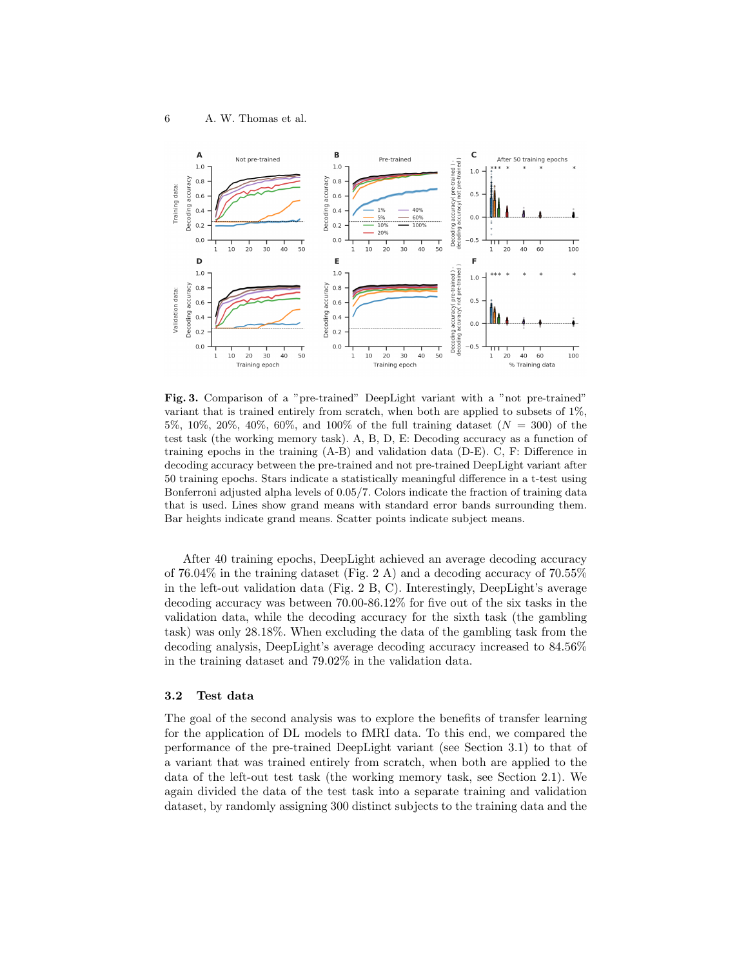

Fig. 3. Comparison of a "pre-trained" DeepLight variant with a "not pre-trained" variant that is trained entirely from scratch, when both are applied to subsets of 1%, 5%, 10%, 20%, 40%, 60%, and 100% of the full training dataset  $(N = 300)$  of the test task (the working memory task). A, B, D, E: Decoding accuracy as a function of training epochs in the training (A-B) and validation data (D-E). C, F: Difference in decoding accuracy between the pre-trained and not pre-trained DeepLight variant after 50 training epochs. Stars indicate a statistically meaningful difference in a t-test using Bonferroni adjusted alpha levels of 0.05/7. Colors indicate the fraction of training data that is used. Lines show grand means with standard error bands surrounding them. Bar heights indicate grand means. Scatter points indicate subject means.

After 40 training epochs, DeepLight achieved an average decoding accuracy of  $76.04\%$  in the training dataset (Fig. 2 A) and a decoding accuracy of  $70.55\%$ in the left-out validation data (Fig. 2 B, C). Interestingly, DeepLight's average decoding accuracy was between 70.00-86.12% for five out of the six tasks in the validation data, while the decoding accuracy for the sixth task (the gambling task) was only 28.18%. When excluding the data of the gambling task from the decoding analysis, DeepLight's average decoding accuracy increased to 84.56% in the training dataset and 79.02% in the validation data.

#### 3.2 Test data

The goal of the second analysis was to explore the benefits of transfer learning for the application of DL models to fMRI data. To this end, we compared the performance of the pre-trained DeepLight variant (see Section 3.1) to that of a variant that was trained entirely from scratch, when both are applied to the data of the left-out test task (the working memory task, see Section 2.1). We again divided the data of the test task into a separate training and validation dataset, by randomly assigning 300 distinct subjects to the training data and the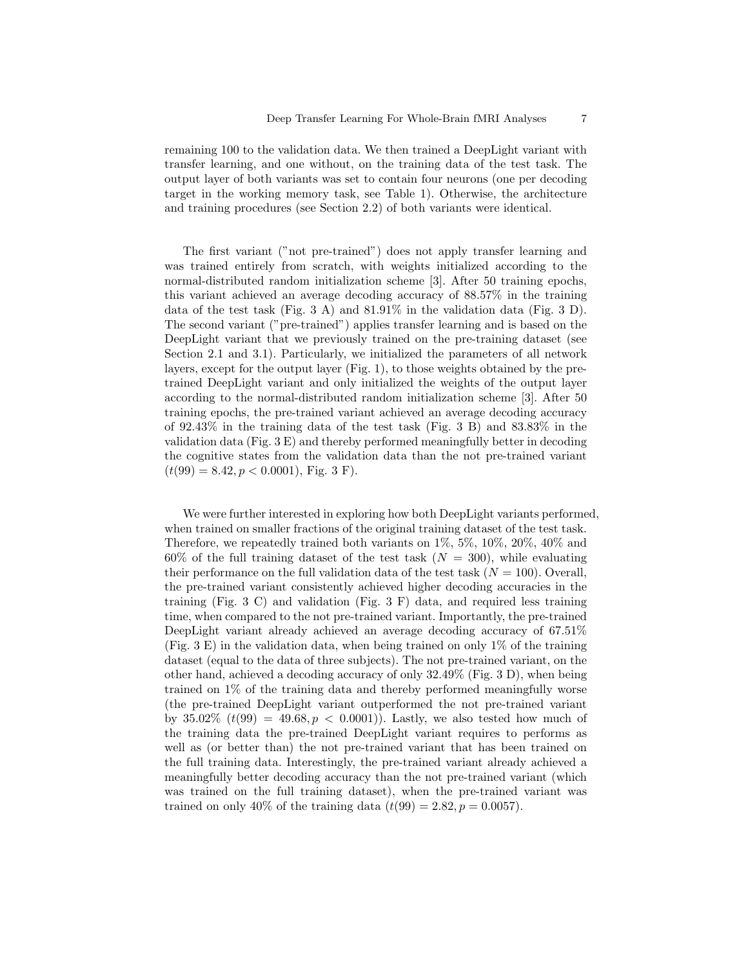remaining 100 to the validation data. We then trained a DeepLight variant with transfer learning, and one without, on the training data of the test task. The output layer of both variants was set to contain four neurons (one per decoding target in the working memory task, see Table 1). Otherwise, the architecture and training procedures (see Section 2.2) of both variants were identical.

The first variant ("not pre-trained") does not apply transfer learning and was trained entirely from scratch, with weights initialized according to the normal-distributed random initialization scheme [3]. After 50 training epochs, this variant achieved an average decoding accuracy of 88.57% in the training data of the test task (Fig. 3 A) and 81.91% in the validation data (Fig. 3 D). The second variant ("pre-trained") applies transfer learning and is based on the DeepLight variant that we previously trained on the pre-training dataset (see Section 2.1 and 3.1). Particularly, we initialized the parameters of all network layers, except for the output layer (Fig. 1), to those weights obtained by the pretrained DeepLight variant and only initialized the weights of the output layer according to the normal-distributed random initialization scheme [3]. After 50 training epochs, the pre-trained variant achieved an average decoding accuracy of 92.43% in the training data of the test task (Fig. 3 B) and 83.83% in the validation data (Fig. 3 E) and thereby performed meaningfully better in decoding the cognitive states from the validation data than the not pre-trained variant  $(t(99) = 8.42, p < 0.0001)$ , Fig. 3 F).

We were further interested in exploring how both DeepLight variants performed, when trained on smaller fractions of the original training dataset of the test task. Therefore, we repeatedly trained both variants on 1%, 5%, 10%, 20%, 40% and 60% of the full training dataset of the test task  $(N = 300)$ , while evaluating their performance on the full validation data of the test task  $(N = 100)$ . Overall, the pre-trained variant consistently achieved higher decoding accuracies in the training (Fig. 3 C) and validation (Fig. 3 F) data, and required less training time, when compared to the not pre-trained variant. Importantly, the pre-trained DeepLight variant already achieved an average decoding accuracy of 67.51% (Fig. 3 E) in the validation data, when being trained on only 1% of the training dataset (equal to the data of three subjects). The not pre-trained variant, on the other hand, achieved a decoding accuracy of only 32.49% (Fig. 3 D), when being trained on 1% of the training data and thereby performed meaningfully worse (the pre-trained DeepLight variant outperformed the not pre-trained variant by 35.02%  $(t(99) = 49.68, p < 0.0001)$ . Lastly, we also tested how much of the training data the pre-trained DeepLight variant requires to performs as well as (or better than) the not pre-trained variant that has been trained on the full training data. Interestingly, the pre-trained variant already achieved a meaningfully better decoding accuracy than the not pre-trained variant (which was trained on the full training dataset), when the pre-trained variant was trained on only 40% of the training data  $(t(99) = 2.82, p = 0.0057)$ .